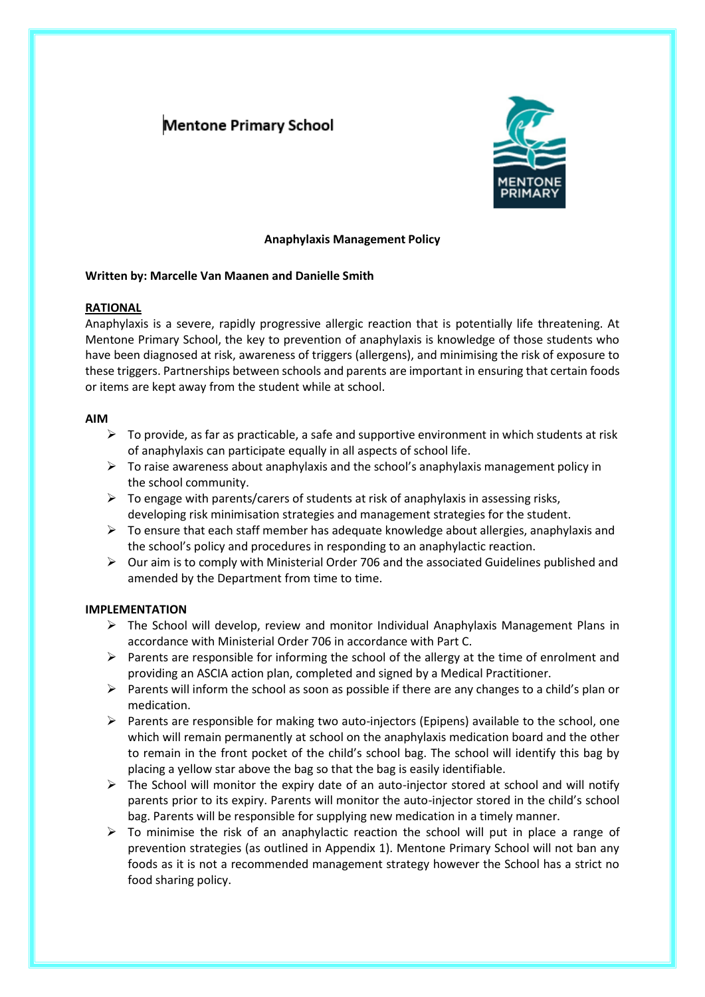## **Mentone Primary School**



## **Anaphylaxis Management Policy**

## **Written by: Marcelle Van Maanen and Danielle Smith**

## **RATIONAL**

Anaphylaxis is a severe, rapidly progressive allergic reaction that is potentially life threatening. At Mentone Primary School, the key to prevention of anaphylaxis is knowledge of those students who have been diagnosed at risk, awareness of triggers (allergens), and minimising the risk of exposure to these triggers. Partnerships between schools and parents are important in ensuring that certain foods or items are kept away from the student while at school.

### **AIM**

- $\triangleright$  To provide, as far as practicable, a safe and supportive environment in which students at risk of anaphylaxis can participate equally in all aspects of school life.
- $\triangleright$  To raise awareness about anaphylaxis and the school's anaphylaxis management policy in the school community.
- $\triangleright$  To engage with parents/carers of students at risk of anaphylaxis in assessing risks, developing risk minimisation strategies and management strategies for the student.
- $\triangleright$  To ensure that each staff member has adequate knowledge about allergies, anaphylaxis and the school's policy and procedures in responding to an anaphylactic reaction.
- $\triangleright$  Our aim is to comply with Ministerial Order 706 and the associated Guidelines published and amended by the Department from time to time.

## **IMPLEMENTATION**

- $\triangleright$  The School will develop, review and monitor Individual Anaphylaxis Management Plans in accordance with Ministerial Order 706 in accordance with Part C.
- $\triangleright$  Parents are responsible for informing the school of the allergy at the time of enrolment and providing an ASCIA action plan, completed and signed by a Medical Practitioner.
- ➢ Parents will inform the school as soon as possible if there are any changes to a child's plan or medication.
- $\triangleright$  Parents are responsible for making two auto-injectors (Epipens) available to the school, one which will remain permanently at school on the anaphylaxis medication board and the other to remain in the front pocket of the child's school bag. The school will identify this bag by placing a yellow star above the bag so that the bag is easily identifiable.
- $\triangleright$  The School will monitor the expiry date of an auto-injector stored at school and will notify parents prior to its expiry. Parents will monitor the auto-injector stored in the child's school bag. Parents will be responsible for supplying new medication in a timely manner.
- $\triangleright$  To minimise the risk of an anaphylactic reaction the school will put in place a range of prevention strategies (as outlined in Appendix 1). Mentone Primary School will not ban any foods as it is not a recommended management strategy however the School has a strict no food sharing policy.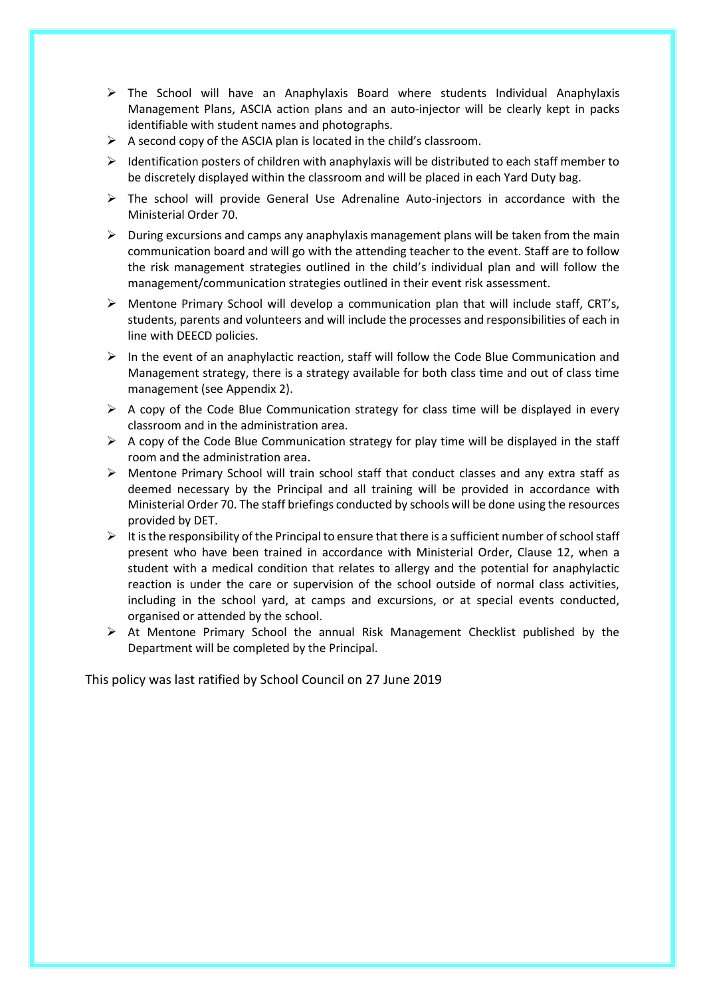- $\triangleright$  The School will have an Anaphylaxis Board where students Individual Anaphylaxis Management Plans, ASCIA action plans and an auto-injector will be clearly kept in packs identifiable with student names and photographs.
- $\triangleright$  A second copy of the ASCIA plan is located in the child's classroom.
- $\triangleright$  Identification posters of children with anaphylaxis will be distributed to each staff member to be discretely displayed within the classroom and will be placed in each Yard Duty bag.
- ➢ The school will provide General Use Adrenaline Auto-injectors in accordance with the Ministerial Order 70.
- $\triangleright$  During excursions and camps any anaphylaxis management plans will be taken from the main communication board and will go with the attending teacher to the event. Staff are to follow the risk management strategies outlined in the child's individual plan and will follow the management/communication strategies outlined in their event risk assessment.
- ➢ Mentone Primary School will develop a communication plan that will include staff, CRT's, students, parents and volunteers and will include the processes and responsibilities of each in line with DEECD policies.
- $\triangleright$  In the event of an anaphylactic reaction, staff will follow the Code Blue Communication and Management strategy, there is a strategy available for both class time and out of class time management (see Appendix 2).
- $\triangleright$  A copy of the Code Blue Communication strategy for class time will be displayed in every classroom and in the administration area.
- $\triangleright$  A copy of the Code Blue Communication strategy for play time will be displayed in the staff room and the administration area.
- $\triangleright$  Mentone Primary School will train school staff that conduct classes and any extra staff as deemed necessary by the Principal and all training will be provided in accordance with Ministerial Order 70. The staff briefings conducted by schools will be done using the resources provided by DET.
- $\triangleright$  It is the responsibility of the Principal to ensure that there is a sufficient number of school staff present who have been trained in accordance with Ministerial Order, Clause 12, when a student with a medical condition that relates to allergy and the potential for anaphylactic reaction is under the care or supervision of the school outside of normal class activities, including in the school yard, at camps and excursions, or at special events conducted, organised or attended by the school.
- $\triangleright$  At Mentone Primary School the annual Risk Management Checklist published by the Department will be completed by the Principal.

This policy was last ratified by School Council on 27 June 2019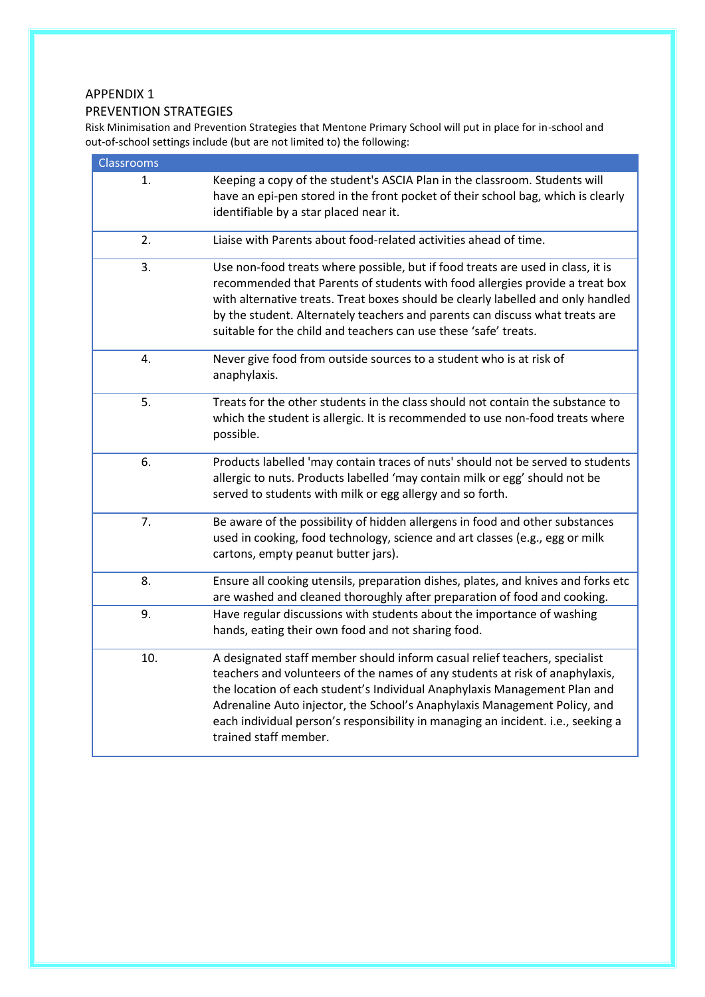## APPENDIX 1

## PREVENTION STRATEGIES

Risk Minimisation and Prevention Strategies that Mentone Primary School will put in place for in-school and out-of-school settings include (but are not limited to) the following:

| <b>Classrooms</b> |                                                                                                                                                                                                                                                                                                                                                                                                                                   |
|-------------------|-----------------------------------------------------------------------------------------------------------------------------------------------------------------------------------------------------------------------------------------------------------------------------------------------------------------------------------------------------------------------------------------------------------------------------------|
| 1.                | Keeping a copy of the student's ASCIA Plan in the classroom. Students will<br>have an epi-pen stored in the front pocket of their school bag, which is clearly<br>identifiable by a star placed near it.                                                                                                                                                                                                                          |
| 2.                | Liaise with Parents about food-related activities ahead of time.                                                                                                                                                                                                                                                                                                                                                                  |
| 3.                | Use non-food treats where possible, but if food treats are used in class, it is<br>recommended that Parents of students with food allergies provide a treat box<br>with alternative treats. Treat boxes should be clearly labelled and only handled<br>by the student. Alternately teachers and parents can discuss what treats are<br>suitable for the child and teachers can use these 'safe' treats.                           |
| $\overline{4}$ .  | Never give food from outside sources to a student who is at risk of<br>anaphylaxis.                                                                                                                                                                                                                                                                                                                                               |
| 5.                | Treats for the other students in the class should not contain the substance to<br>which the student is allergic. It is recommended to use non-food treats where<br>possible.                                                                                                                                                                                                                                                      |
| 6.                | Products labelled 'may contain traces of nuts' should not be served to students<br>allergic to nuts. Products labelled 'may contain milk or egg' should not be<br>served to students with milk or egg allergy and so forth.                                                                                                                                                                                                       |
| 7.                | Be aware of the possibility of hidden allergens in food and other substances<br>used in cooking, food technology, science and art classes (e.g., egg or milk<br>cartons, empty peanut butter jars).                                                                                                                                                                                                                               |
| 8.                | Ensure all cooking utensils, preparation dishes, plates, and knives and forks etc<br>are washed and cleaned thoroughly after preparation of food and cooking.                                                                                                                                                                                                                                                                     |
| 9.                | Have regular discussions with students about the importance of washing<br>hands, eating their own food and not sharing food.                                                                                                                                                                                                                                                                                                      |
| 10.               | A designated staff member should inform casual relief teachers, specialist<br>teachers and volunteers of the names of any students at risk of anaphylaxis,<br>the location of each student's Individual Anaphylaxis Management Plan and<br>Adrenaline Auto injector, the School's Anaphylaxis Management Policy, and<br>each individual person's responsibility in managing an incident. i.e., seeking a<br>trained staff member. |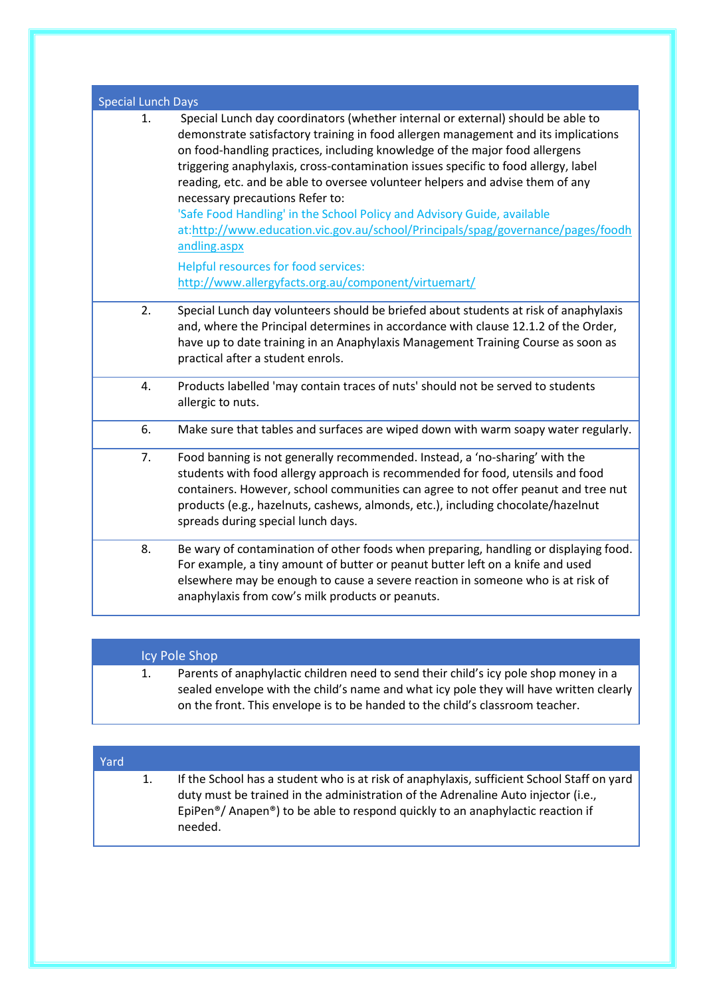| <b>Special Lunch Days</b> |                                                                                                                                                                                                                                                                                                                                                                                                                                                                                                                                                                                                                                                                                                                                               |
|---------------------------|-----------------------------------------------------------------------------------------------------------------------------------------------------------------------------------------------------------------------------------------------------------------------------------------------------------------------------------------------------------------------------------------------------------------------------------------------------------------------------------------------------------------------------------------------------------------------------------------------------------------------------------------------------------------------------------------------------------------------------------------------|
| 1.                        | Special Lunch day coordinators (whether internal or external) should be able to<br>demonstrate satisfactory training in food allergen management and its implications<br>on food-handling practices, including knowledge of the major food allergens<br>triggering anaphylaxis, cross-contamination issues specific to food allergy, label<br>reading, etc. and be able to oversee volunteer helpers and advise them of any<br>necessary precautions Refer to:<br>'Safe Food Handling' in the School Policy and Advisory Guide, available<br>at:http://www.education.vic.gov.au/school/Principals/spag/governance/pages/foodh<br>andling.aspx<br>Helpful resources for food services:<br>http://www.allergyfacts.org.au/component/virtuemart/ |
| 2.                        | Special Lunch day volunteers should be briefed about students at risk of anaphylaxis<br>and, where the Principal determines in accordance with clause 12.1.2 of the Order,<br>have up to date training in an Anaphylaxis Management Training Course as soon as<br>practical after a student enrols.                                                                                                                                                                                                                                                                                                                                                                                                                                           |
| 4.                        | Products labelled 'may contain traces of nuts' should not be served to students<br>allergic to nuts.                                                                                                                                                                                                                                                                                                                                                                                                                                                                                                                                                                                                                                          |
| 6.                        | Make sure that tables and surfaces are wiped down with warm soapy water regularly.                                                                                                                                                                                                                                                                                                                                                                                                                                                                                                                                                                                                                                                            |
| 7.                        | Food banning is not generally recommended. Instead, a 'no-sharing' with the<br>students with food allergy approach is recommended for food, utensils and food<br>containers. However, school communities can agree to not offer peanut and tree nut<br>products (e.g., hazelnuts, cashews, almonds, etc.), including chocolate/hazelnut<br>spreads during special lunch days.                                                                                                                                                                                                                                                                                                                                                                 |
| 8.                        | Be wary of contamination of other foods when preparing, handling or displaying food.<br>For example, a tiny amount of butter or peanut butter left on a knife and used<br>elsewhere may be enough to cause a severe reaction in someone who is at risk of<br>anaphylaxis from cow's milk products or peanuts.                                                                                                                                                                                                                                                                                                                                                                                                                                 |

|    | Icy Pole Shop                                                                                                                                                                                                                                                   |
|----|-----------------------------------------------------------------------------------------------------------------------------------------------------------------------------------------------------------------------------------------------------------------|
| 1. | Parents of anaphylactic children need to send their child's icy pole shop money in a<br>sealed envelope with the child's name and what icy pole they will have written clearly<br>on the front. This envelope is to be handed to the child's classroom teacher. |

| Yard |    |                                                                                                                                                                                                                                                                                                        |
|------|----|--------------------------------------------------------------------------------------------------------------------------------------------------------------------------------------------------------------------------------------------------------------------------------------------------------|
|      | 1. | If the School has a student who is at risk of anaphylaxis, sufficient School Staff on yard<br>duty must be trained in the administration of the Adrenaline Auto injector (i.e.,<br>EpiPen <sup>®</sup> / Anapen <sup>®</sup> ) to be able to respond quickly to an anaphylactic reaction if<br>needed. |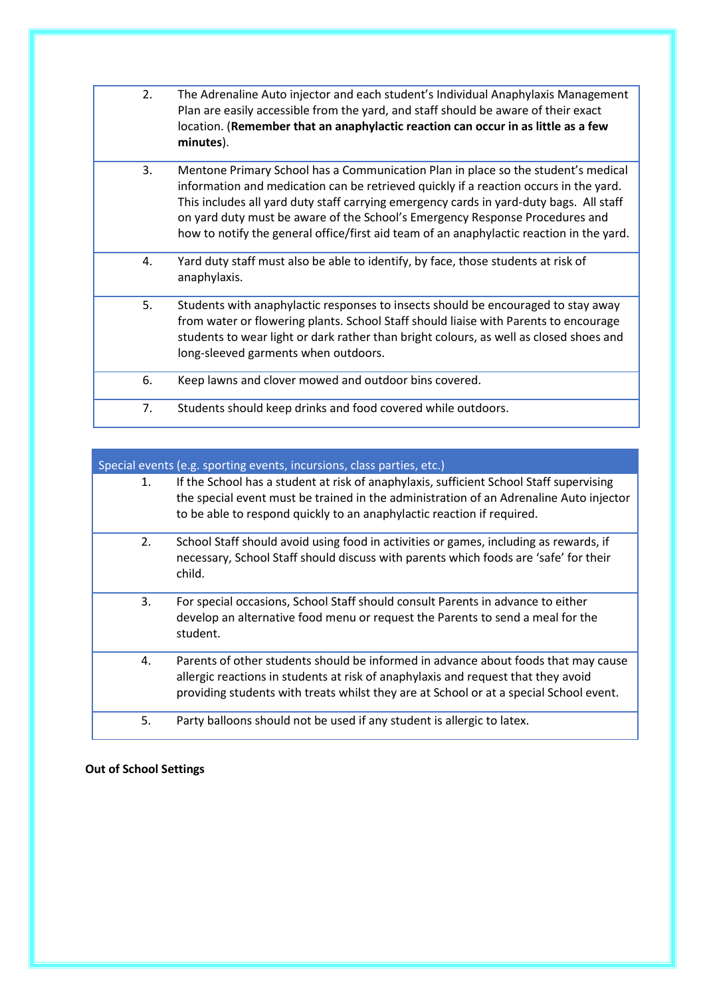| 2. | The Adrenaline Auto injector and each student's Individual Anaphylaxis Management<br>Plan are easily accessible from the yard, and staff should be aware of their exact<br>location. (Remember that an anaphylactic reaction can occur in as little as a few<br>minutes).                                                                                                                                                                         |
|----|---------------------------------------------------------------------------------------------------------------------------------------------------------------------------------------------------------------------------------------------------------------------------------------------------------------------------------------------------------------------------------------------------------------------------------------------------|
| 3. | Mentone Primary School has a Communication Plan in place so the student's medical<br>information and medication can be retrieved quickly if a reaction occurs in the yard.<br>This includes all yard duty staff carrying emergency cards in yard-duty bags. All staff<br>on yard duty must be aware of the School's Emergency Response Procedures and<br>how to notify the general office/first aid team of an anaphylactic reaction in the yard. |
| 4. | Yard duty staff must also be able to identify, by face, those students at risk of<br>anaphylaxis.                                                                                                                                                                                                                                                                                                                                                 |
| 5. | Students with anaphylactic responses to insects should be encouraged to stay away<br>from water or flowering plants. School Staff should liaise with Parents to encourage<br>students to wear light or dark rather than bright colours, as well as closed shoes and<br>long-sleeved garments when outdoors.                                                                                                                                       |
| 6. | Keep lawns and clover mowed and outdoor bins covered.                                                                                                                                                                                                                                                                                                                                                                                             |
| 7. | Students should keep drinks and food covered while outdoors.                                                                                                                                                                                                                                                                                                                                                                                      |

| Special events (e.g. sporting events, incursions, class parties, etc.) |                                                                                                                                                                                                                                                                   |
|------------------------------------------------------------------------|-------------------------------------------------------------------------------------------------------------------------------------------------------------------------------------------------------------------------------------------------------------------|
| 1.                                                                     | If the School has a student at risk of anaphylaxis, sufficient School Staff supervising<br>the special event must be trained in the administration of an Adrenaline Auto injector<br>to be able to respond quickly to an anaphylactic reaction if required.       |
| 2.                                                                     | School Staff should avoid using food in activities or games, including as rewards, if<br>necessary, School Staff should discuss with parents which foods are 'safe' for their<br>child.                                                                           |
| 3.                                                                     | For special occasions, School Staff should consult Parents in advance to either<br>develop an alternative food menu or request the Parents to send a meal for the<br>student.                                                                                     |
| 4.                                                                     | Parents of other students should be informed in advance about foods that may cause<br>allergic reactions in students at risk of anaphylaxis and request that they avoid<br>providing students with treats whilst they are at School or at a special School event. |
| 5.                                                                     | Party balloons should not be used if any student is allergic to latex.                                                                                                                                                                                            |

**Out of School Settings**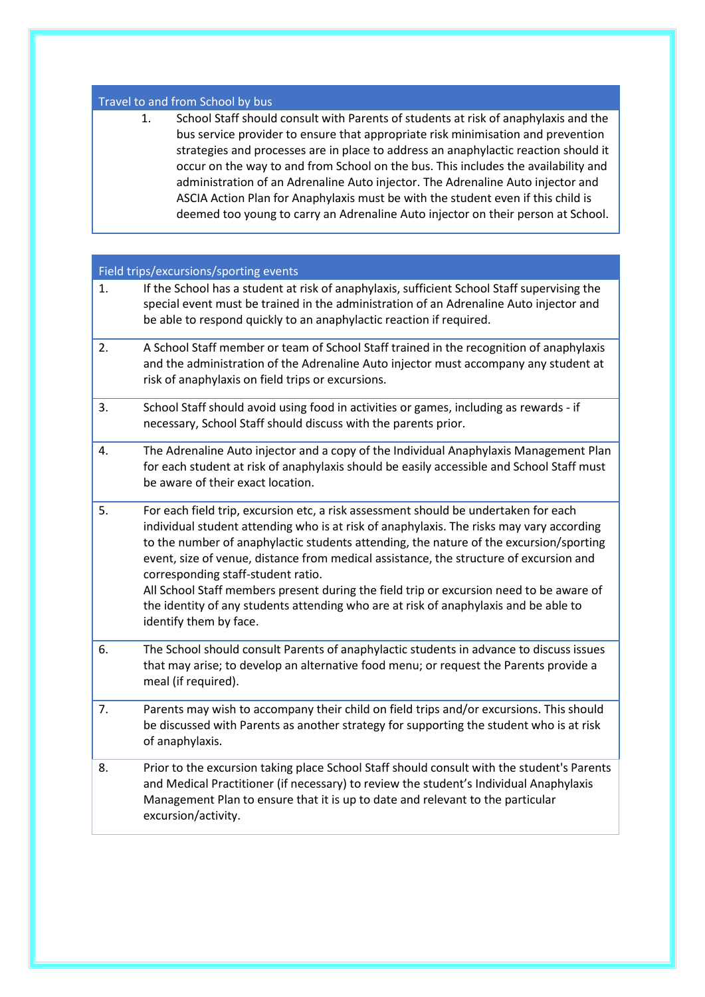### Travel to and from School by bus

1. School Staff should consult with Parents of students at risk of anaphylaxis and the bus service provider to ensure that appropriate risk minimisation and prevention strategies and processes are in place to address an anaphylactic reaction should it occur on the way to and from School on the bus. This includes the availability and administration of an Adrenaline Auto injector. The Adrenaline Auto injector and ASCIA Action Plan for Anaphylaxis must be with the student even if this child is deemed too young to carry an Adrenaline Auto injector on their person at School.

### Field trips/excursions/sporting events

- 1. If the School has a student at risk of anaphylaxis, sufficient School Staff supervising the special event must be trained in the administration of an Adrenaline Auto injector and be able to respond quickly to an anaphylactic reaction if required.
- 2. A School Staff member or team of School Staff trained in the recognition of anaphylaxis and the administration of the Adrenaline Auto injector must accompany any student at risk of anaphylaxis on field trips or excursions.
- 3. School Staff should avoid using food in activities or games, including as rewards if necessary, School Staff should discuss with the parents prior.
- 4. The Adrenaline Auto injector and a copy of the Individual Anaphylaxis Management Plan for each student at risk of anaphylaxis should be easily accessible and School Staff must be aware of their exact location.
- 5. For each field trip, excursion etc, a risk assessment should be undertaken for each individual student attending who is at risk of anaphylaxis. The risks may vary according to the number of anaphylactic students attending, the nature of the excursion/sporting event, size of venue, distance from medical assistance, the structure of excursion and corresponding staff-student ratio.

All School Staff members present during the field trip or excursion need to be aware of the identity of any students attending who are at risk of anaphylaxis and be able to identify them by face.

- 6. The School should consult Parents of anaphylactic students in advance to discuss issues that may arise; to develop an alternative food menu; or request the Parents provide a meal (if required).
- 7. Parents may wish to accompany their child on field trips and/or excursions. This should be discussed with Parents as another strategy for supporting the student who is at risk of anaphylaxis.
- 8. Prior to the excursion taking place School Staff should consult with the student's Parents and Medical Practitioner (if necessary) to review the student's Individual Anaphylaxis Management Plan to ensure that it is up to date and relevant to the particular excursion/activity.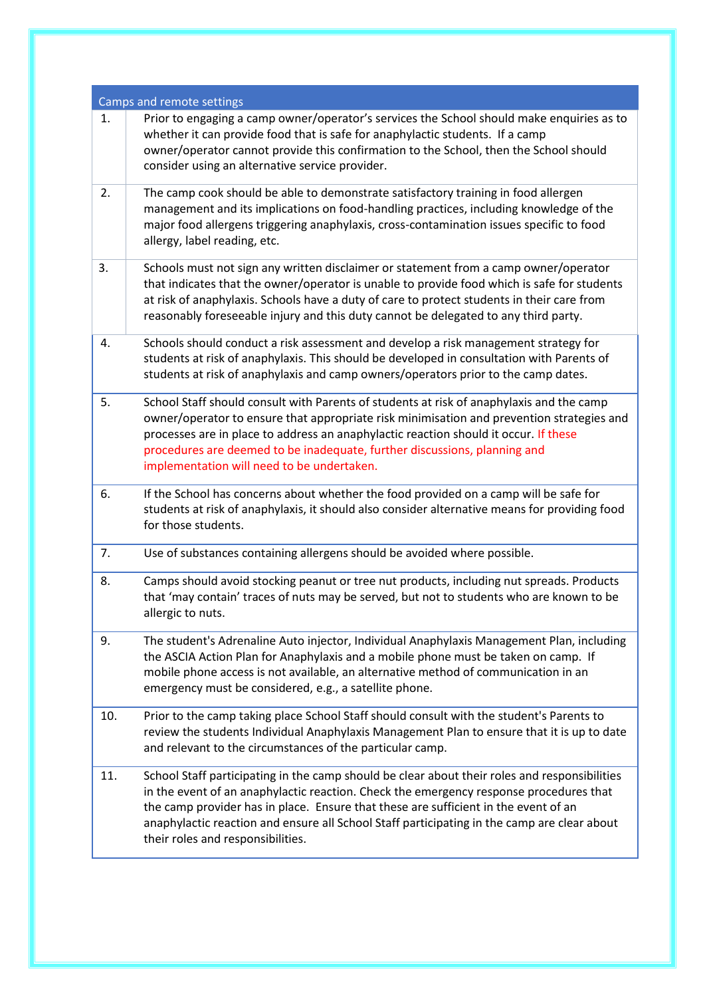| Camps and remote settings |                                                                                                                                                                                                                                                                                                                                                                                                                    |
|---------------------------|--------------------------------------------------------------------------------------------------------------------------------------------------------------------------------------------------------------------------------------------------------------------------------------------------------------------------------------------------------------------------------------------------------------------|
| 1.                        | Prior to engaging a camp owner/operator's services the School should make enquiries as to<br>whether it can provide food that is safe for anaphylactic students. If a camp<br>owner/operator cannot provide this confirmation to the School, then the School should<br>consider using an alternative service provider.                                                                                             |
| 2.                        | The camp cook should be able to demonstrate satisfactory training in food allergen<br>management and its implications on food-handling practices, including knowledge of the<br>major food allergens triggering anaphylaxis, cross-contamination issues specific to food<br>allergy, label reading, etc.                                                                                                           |
| 3.                        | Schools must not sign any written disclaimer or statement from a camp owner/operator<br>that indicates that the owner/operator is unable to provide food which is safe for students<br>at risk of anaphylaxis. Schools have a duty of care to protect students in their care from<br>reasonably foreseeable injury and this duty cannot be delegated to any third party.                                           |
| 4.                        | Schools should conduct a risk assessment and develop a risk management strategy for<br>students at risk of anaphylaxis. This should be developed in consultation with Parents of<br>students at risk of anaphylaxis and camp owners/operators prior to the camp dates.                                                                                                                                             |
| 5.                        | School Staff should consult with Parents of students at risk of anaphylaxis and the camp<br>owner/operator to ensure that appropriate risk minimisation and prevention strategies and<br>processes are in place to address an anaphylactic reaction should it occur. If these<br>procedures are deemed to be inadequate, further discussions, planning and<br>implementation will need to be undertaken.           |
| 6.                        | If the School has concerns about whether the food provided on a camp will be safe for<br>students at risk of anaphylaxis, it should also consider alternative means for providing food<br>for those students.                                                                                                                                                                                                      |
| 7.                        | Use of substances containing allergens should be avoided where possible.                                                                                                                                                                                                                                                                                                                                           |
| 8.                        | Camps should avoid stocking peanut or tree nut products, including nut spreads. Products<br>that 'may contain' traces of nuts may be served, but not to students who are known to be<br>allergic to nuts.                                                                                                                                                                                                          |
| 9.                        | The student's Adrenaline Auto injector, Individual Anaphylaxis Management Plan, including<br>the ASCIA Action Plan for Anaphylaxis and a mobile phone must be taken on camp. If<br>mobile phone access is not available, an alternative method of communication in an<br>emergency must be considered, e.g., a satellite phone.                                                                                    |
| 10.                       | Prior to the camp taking place School Staff should consult with the student's Parents to<br>review the students Individual Anaphylaxis Management Plan to ensure that it is up to date<br>and relevant to the circumstances of the particular camp.                                                                                                                                                                |
| 11.                       | School Staff participating in the camp should be clear about their roles and responsibilities<br>in the event of an anaphylactic reaction. Check the emergency response procedures that<br>the camp provider has in place. Ensure that these are sufficient in the event of an<br>anaphylactic reaction and ensure all School Staff participating in the camp are clear about<br>their roles and responsibilities. |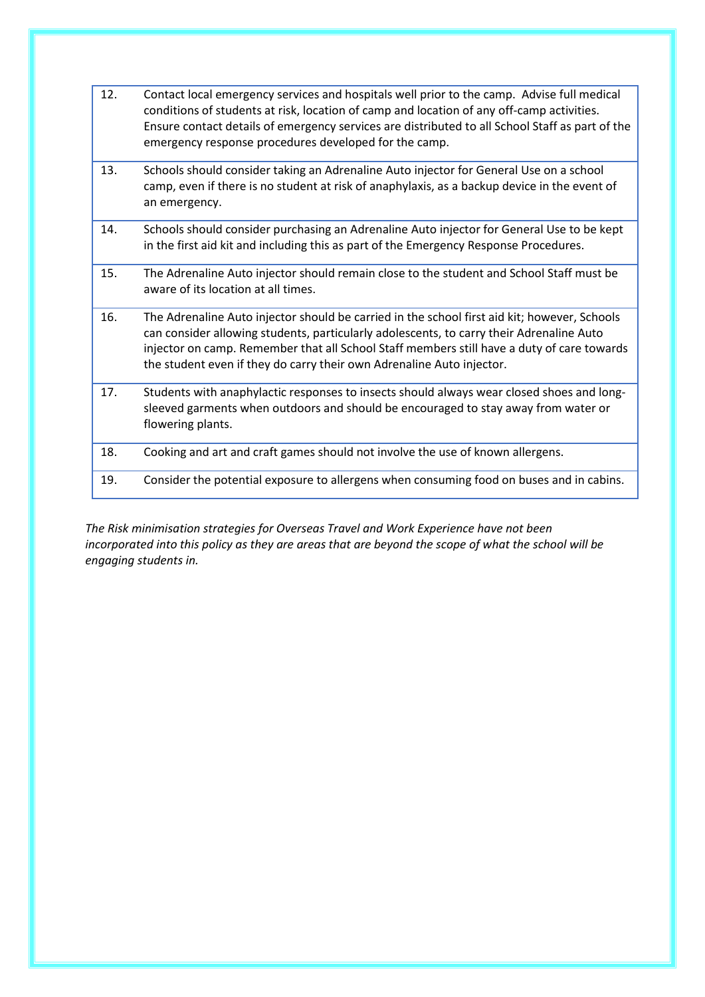| 12. | Contact local emergency services and hospitals well prior to the camp. Advise full medical<br>conditions of students at risk, location of camp and location of any off-camp activities.<br>Ensure contact details of emergency services are distributed to all School Staff as part of the<br>emergency response procedures developed for the camp.             |
|-----|-----------------------------------------------------------------------------------------------------------------------------------------------------------------------------------------------------------------------------------------------------------------------------------------------------------------------------------------------------------------|
| 13. | Schools should consider taking an Adrenaline Auto injector for General Use on a school<br>camp, even if there is no student at risk of anaphylaxis, as a backup device in the event of<br>an emergency.                                                                                                                                                         |
| 14. | Schools should consider purchasing an Adrenaline Auto injector for General Use to be kept<br>in the first aid kit and including this as part of the Emergency Response Procedures.                                                                                                                                                                              |
| 15. | The Adrenaline Auto injector should remain close to the student and School Staff must be<br>aware of its location at all times.                                                                                                                                                                                                                                 |
| 16. | The Adrenaline Auto injector should be carried in the school first aid kit; however, Schools<br>can consider allowing students, particularly adolescents, to carry their Adrenaline Auto<br>injector on camp. Remember that all School Staff members still have a duty of care towards<br>the student even if they do carry their own Adrenaline Auto injector. |
| 17. | Students with anaphylactic responses to insects should always wear closed shoes and long-<br>sleeved garments when outdoors and should be encouraged to stay away from water or<br>flowering plants.                                                                                                                                                            |
| 18. | Cooking and art and craft games should not involve the use of known allergens.                                                                                                                                                                                                                                                                                  |
| 19. | Consider the potential exposure to allergens when consuming food on buses and in cabins.                                                                                                                                                                                                                                                                        |
|     |                                                                                                                                                                                                                                                                                                                                                                 |

*The Risk minimisation strategies for Overseas Travel and Work Experience have not been incorporated into this policy as they are areas that are beyond the scope of what the school will be engaging students in.*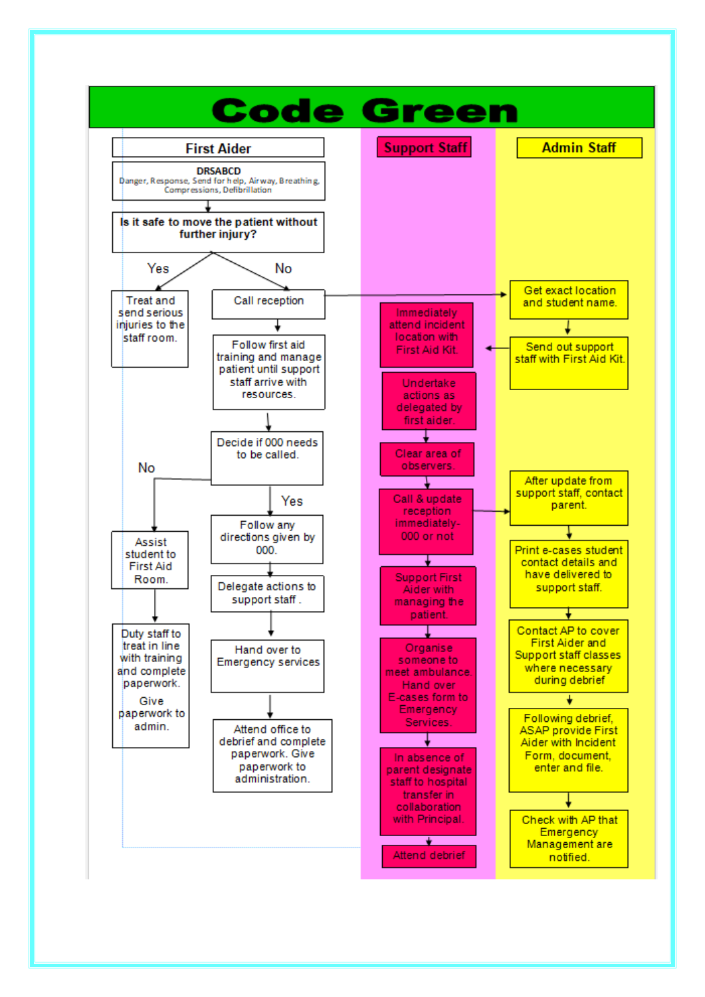